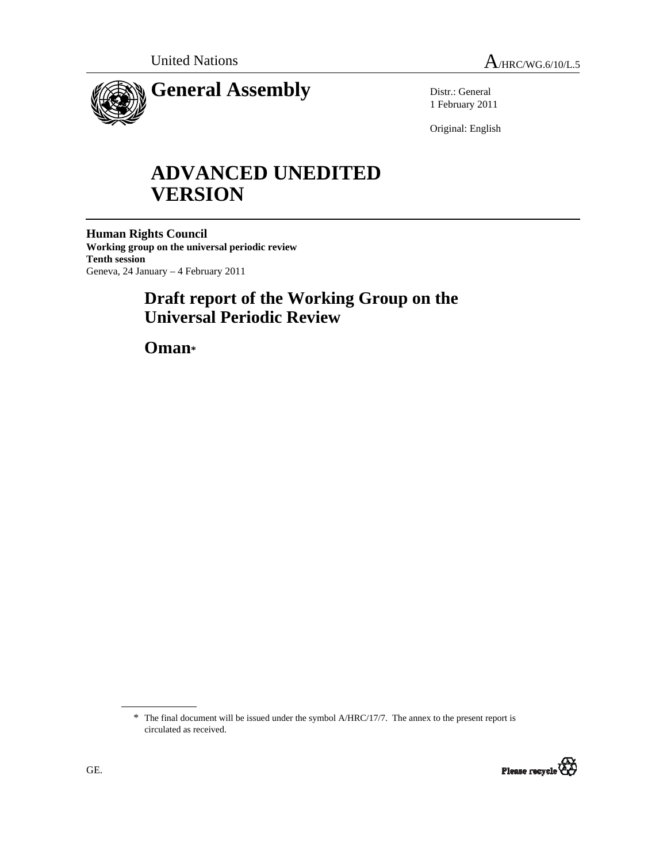

Distr.: General 1 February 2011

Original: English

# **ADVANCED UNEDITED VERSION**

**Human Rights Council Working group on the universal periodic review Tenth session**  Geneva, 24 January – 4 February 2011

## **Draft report of the Working Group on the Universal Periodic Review**

 **Oman\***

<sup>\*</sup> The final document will be issued under the symbol A/HRC/17/7. The annex to the present report is circulated as received.

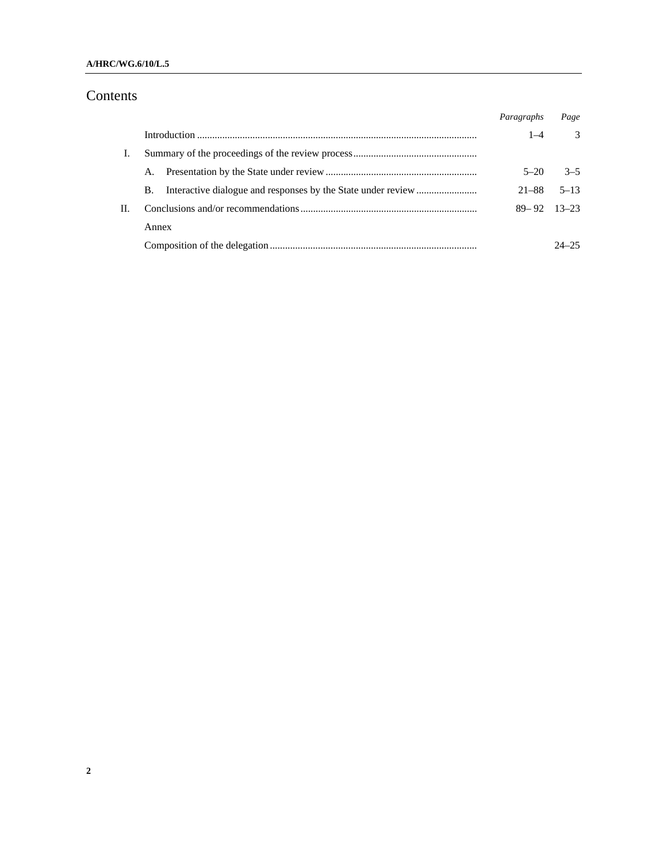### **A/HRC/WG.6/10/L.5**

## Contents

|    |       | Paragraphs      | Page          |
|----|-------|-----------------|---------------|
|    |       | $1 - 4$         | $\mathcal{F}$ |
|    |       |                 |               |
|    | А.    | $5 - 20$        | $3 - 5$       |
|    | В.    | $21 - 88$       | $5 - 13$      |
| H. |       | $89 - 92$ 13-23 |               |
|    | Annex |                 |               |
|    |       |                 | $24 - 25$     |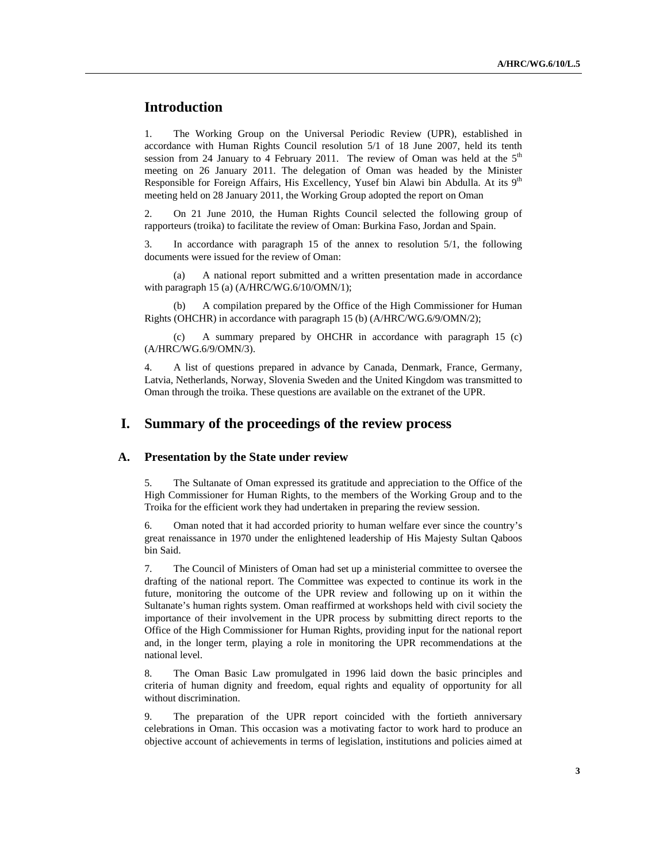## **Introduction**

1. The Working Group on the Universal Periodic Review (UPR), established in accordance with Human Rights Council resolution 5/1 of 18 June 2007, held its tenth session from 24 January to 4 February 2011. The review of Oman was held at the  $5<sup>th</sup>$ meeting on 26 January 2011. The delegation of Oman was headed by the Minister Responsible for Foreign Affairs, His Excellency, Yusef bin Alawi bin Abdulla. At its  $9<sup>th</sup>$ meeting held on 28 January 2011, the Working Group adopted the report on Oman

2. On 21 June 2010, the Human Rights Council selected the following group of rapporteurs (troika) to facilitate the review of Oman: Burkina Faso, Jordan and Spain.

3. In accordance with paragraph 15 of the annex to resolution 5/1, the following documents were issued for the review of Oman:

 (a) A national report submitted and a written presentation made in accordance with paragraph 15 (a) (A/HRC/WG.6/10/OMN/1);

 (b) A compilation prepared by the Office of the High Commissioner for Human Rights (OHCHR) in accordance with paragraph 15 (b) (A/HRC/WG.6/9/OMN/2);

 (c) A summary prepared by OHCHR in accordance with paragraph 15 (c) (A/HRC/WG.6/9/OMN/3).

4. A list of questions prepared in advance by Canada, Denmark, France, Germany, Latvia, Netherlands, Norway, Slovenia Sweden and the United Kingdom was transmitted to Oman through the troika. These questions are available on the extranet of the UPR.

## **I. Summary of the proceedings of the review process**

#### **A. Presentation by the State under review**

5. The Sultanate of Oman expressed its gratitude and appreciation to the Office of the High Commissioner for Human Rights, to the members of the Working Group and to the Troika for the efficient work they had undertaken in preparing the review session.

6. Oman noted that it had accorded priority to human welfare ever since the country's great renaissance in 1970 under the enlightened leadership of His Majesty Sultan Qaboos bin Said.

7. The Council of Ministers of Oman had set up a ministerial committee to oversee the drafting of the national report. The Committee was expected to continue its work in the future, monitoring the outcome of the UPR review and following up on it within the Sultanate's human rights system. Oman reaffirmed at workshops held with civil society the importance of their involvement in the UPR process by submitting direct reports to the Office of the High Commissioner for Human Rights, providing input for the national report and, in the longer term, playing a role in monitoring the UPR recommendations at the national level.

8. The Oman Basic Law promulgated in 1996 laid down the basic principles and criteria of human dignity and freedom, equal rights and equality of opportunity for all without discrimination.

9. The preparation of the UPR report coincided with the fortieth anniversary celebrations in Oman. This occasion was a motivating factor to work hard to produce an objective account of achievements in terms of legislation, institutions and policies aimed at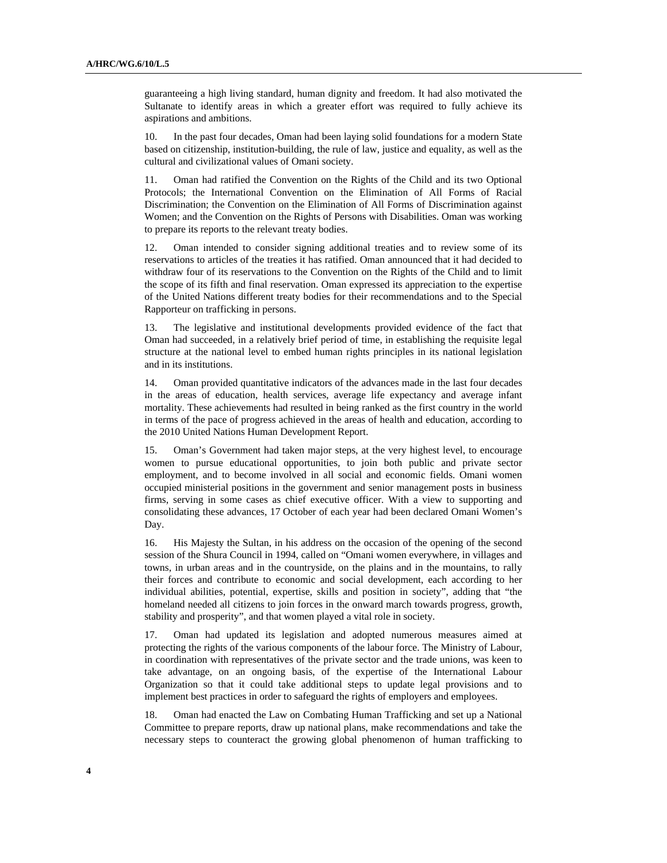guaranteeing a high living standard, human dignity and freedom. It had also motivated the Sultanate to identify areas in which a greater effort was required to fully achieve its aspirations and ambitions.

10. In the past four decades, Oman had been laying solid foundations for a modern State based on citizenship, institution-building, the rule of law, justice and equality, as well as the cultural and civilizational values of Omani society.

11. Oman had ratified the Convention on the Rights of the Child and its two Optional Protocols; the International Convention on the Elimination of All Forms of Racial Discrimination; the Convention on the Elimination of All Forms of Discrimination against Women; and the Convention on the Rights of Persons with Disabilities. Oman was working to prepare its reports to the relevant treaty bodies.

12. Oman intended to consider signing additional treaties and to review some of its reservations to articles of the treaties it has ratified. Oman announced that it had decided to withdraw four of its reservations to the Convention on the Rights of the Child and to limit the scope of its fifth and final reservation. Oman expressed its appreciation to the expertise of the United Nations different treaty bodies for their recommendations and to the Special Rapporteur on trafficking in persons.

13. The legislative and institutional developments provided evidence of the fact that Oman had succeeded, in a relatively brief period of time, in establishing the requisite legal structure at the national level to embed human rights principles in its national legislation and in its institutions.

14. Oman provided quantitative indicators of the advances made in the last four decades in the areas of education, health services, average life expectancy and average infant mortality. These achievements had resulted in being ranked as the first country in the world in terms of the pace of progress achieved in the areas of health and education, according to the 2010 United Nations Human Development Report.

15. Oman's Government had taken major steps, at the very highest level, to encourage women to pursue educational opportunities, to join both public and private sector employment, and to become involved in all social and economic fields. Omani women occupied ministerial positions in the government and senior management posts in business firms, serving in some cases as chief executive officer. With a view to supporting and consolidating these advances, 17 October of each year had been declared Omani Women's Day.

16. His Majesty the Sultan, in his address on the occasion of the opening of the second session of the Shura Council in 1994, called on "Omani women everywhere, in villages and towns, in urban areas and in the countryside, on the plains and in the mountains, to rally their forces and contribute to economic and social development, each according to her individual abilities, potential, expertise, skills and position in society", adding that "the homeland needed all citizens to join forces in the onward march towards progress, growth, stability and prosperity", and that women played a vital role in society.

17. Oman had updated its legislation and adopted numerous measures aimed at protecting the rights of the various components of the labour force. The Ministry of Labour, in coordination with representatives of the private sector and the trade unions, was keen to take advantage, on an ongoing basis, of the expertise of the International Labour Organization so that it could take additional steps to update legal provisions and to implement best practices in order to safeguard the rights of employers and employees.

18. Oman had enacted the Law on Combating Human Trafficking and set up a National Committee to prepare reports, draw up national plans, make recommendations and take the necessary steps to counteract the growing global phenomenon of human trafficking to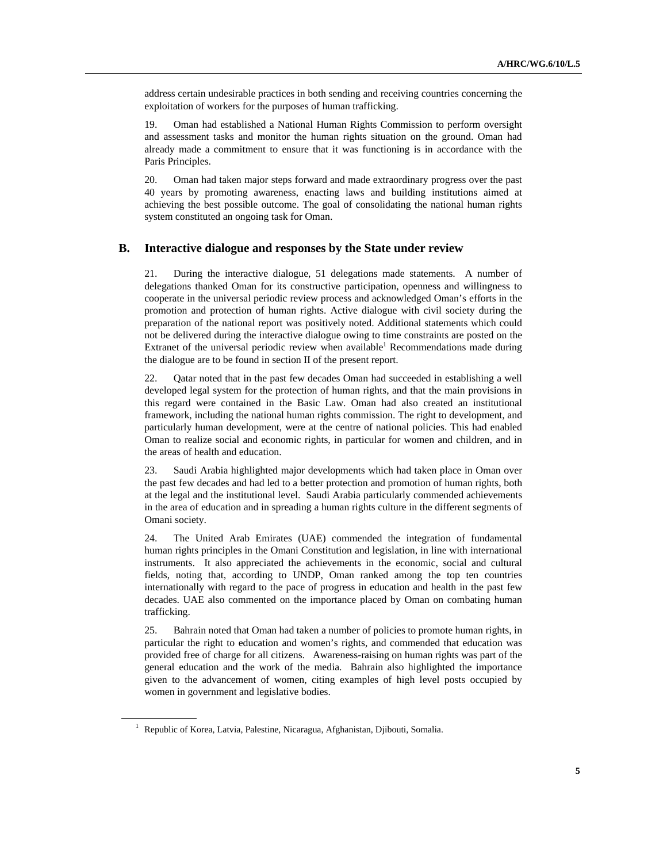address certain undesirable practices in both sending and receiving countries concerning the exploitation of workers for the purposes of human trafficking.

19. Oman had established a National Human Rights Commission to perform oversight and assessment tasks and monitor the human rights situation on the ground. Oman had already made a commitment to ensure that it was functioning is in accordance with the Paris Principles.

20. Oman had taken major steps forward and made extraordinary progress over the past 40 years by promoting awareness, enacting laws and building institutions aimed at achieving the best possible outcome. The goal of consolidating the national human rights system constituted an ongoing task for Oman.

#### **B. Interactive dialogue and responses by the State under review**

21. During the interactive dialogue, 51 delegations made statements. A number of delegations thanked Oman for its constructive participation, openness and willingness to cooperate in the universal periodic review process and acknowledged Oman's efforts in the promotion and protection of human rights. Active dialogue with civil society during the preparation of the national report was positively noted. Additional statements which could not be delivered during the interactive dialogue owing to time constraints are posted on the Extranet of the universal periodic review when available<sup>1</sup> Recommendations made during the dialogue are to be found in section II of the present report.

22. Qatar noted that in the past few decades Oman had succeeded in establishing a well developed legal system for the protection of human rights, and that the main provisions in this regard were contained in the Basic Law. Oman had also created an institutional framework, including the national human rights commission. The right to development, and particularly human development, were at the centre of national policies. This had enabled Oman to realize social and economic rights, in particular for women and children, and in the areas of health and education.

23. Saudi Arabia highlighted major developments which had taken place in Oman over the past few decades and had led to a better protection and promotion of human rights, both at the legal and the institutional level. Saudi Arabia particularly commended achievements in the area of education and in spreading a human rights culture in the different segments of Omani society.

24. The United Arab Emirates (UAE) commended the integration of fundamental human rights principles in the Omani Constitution and legislation, in line with international instruments. It also appreciated the achievements in the economic, social and cultural fields, noting that, according to UNDP, Oman ranked among the top ten countries internationally with regard to the pace of progress in education and health in the past few decades. UAE also commented on the importance placed by Oman on combating human trafficking.

25. Bahrain noted that Oman had taken a number of policies to promote human rights, in particular the right to education and women's rights, and commended that education was provided free of charge for all citizens. Awareness-raising on human rights was part of the general education and the work of the media. Bahrain also highlighted the importance given to the advancement of women, citing examples of high level posts occupied by women in government and legislative bodies.

<sup>&</sup>lt;sup>1</sup> Republic of Korea, Latvia, Palestine, Nicaragua, Afghanistan, Djibouti, Somalia.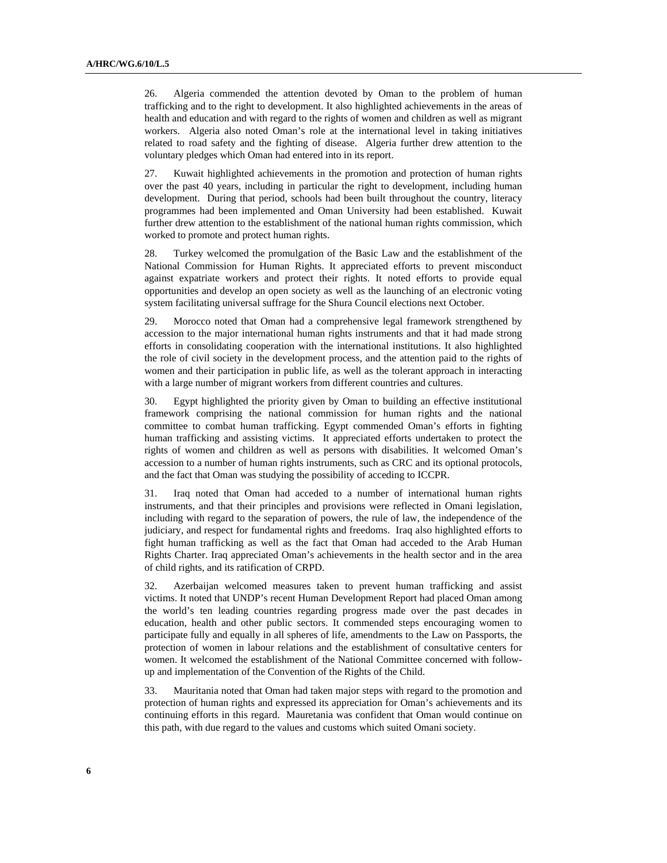26. Algeria commended the attention devoted by Oman to the problem of human trafficking and to the right to development. It also highlighted achievements in the areas of health and education and with regard to the rights of women and children as well as migrant workers. Algeria also noted Oman's role at the international level in taking initiatives related to road safety and the fighting of disease. Algeria further drew attention to the voluntary pledges which Oman had entered into in its report.

27. Kuwait highlighted achievements in the promotion and protection of human rights over the past 40 years, including in particular the right to development, including human development. During that period, schools had been built throughout the country, literacy programmes had been implemented and Oman University had been established. Kuwait further drew attention to the establishment of the national human rights commission, which worked to promote and protect human rights.

28. Turkey welcomed the promulgation of the Basic Law and the establishment of the National Commission for Human Rights. It appreciated efforts to prevent misconduct against expatriate workers and protect their rights. It noted efforts to provide equal opportunities and develop an open society as well as the launching of an electronic voting system facilitating universal suffrage for the Shura Council elections next October.

29. Morocco noted that Oman had a comprehensive legal framework strengthened by accession to the major international human rights instruments and that it had made strong efforts in consolidating cooperation with the international institutions. It also highlighted the role of civil society in the development process, and the attention paid to the rights of women and their participation in public life, as well as the tolerant approach in interacting with a large number of migrant workers from different countries and cultures.

30. Egypt highlighted the priority given by Oman to building an effective institutional framework comprising the national commission for human rights and the national committee to combat human trafficking. Egypt commended Oman's efforts in fighting human trafficking and assisting victims. It appreciated efforts undertaken to protect the rights of women and children as well as persons with disabilities. It welcomed Oman's accession to a number of human rights instruments, such as CRC and its optional protocols, and the fact that Oman was studying the possibility of acceding to ICCPR.

31. Iraq noted that Oman had acceded to a number of international human rights instruments, and that their principles and provisions were reflected in Omani legislation, including with regard to the separation of powers, the rule of law, the independence of the judiciary, and respect for fundamental rights and freedoms. Iraq also highlighted efforts to fight human trafficking as well as the fact that Oman had acceded to the Arab Human Rights Charter. Iraq appreciated Oman's achievements in the health sector and in the area of child rights, and its ratification of CRPD.

32. Azerbaijan welcomed measures taken to prevent human trafficking and assist victims. It noted that UNDP's recent Human Development Report had placed Oman among the world's ten leading countries regarding progress made over the past decades in education, health and other public sectors. It commended steps encouraging women to participate fully and equally in all spheres of life, amendments to the Law on Passports, the protection of women in labour relations and the establishment of consultative centers for women. It welcomed the establishment of the National Committee concerned with followup and implementation of the Convention of the Rights of the Child.

33. Mauritania noted that Oman had taken major steps with regard to the promotion and protection of human rights and expressed its appreciation for Oman's achievements and its continuing efforts in this regard. Mauretania was confident that Oman would continue on this path, with due regard to the values and customs which suited Omani society.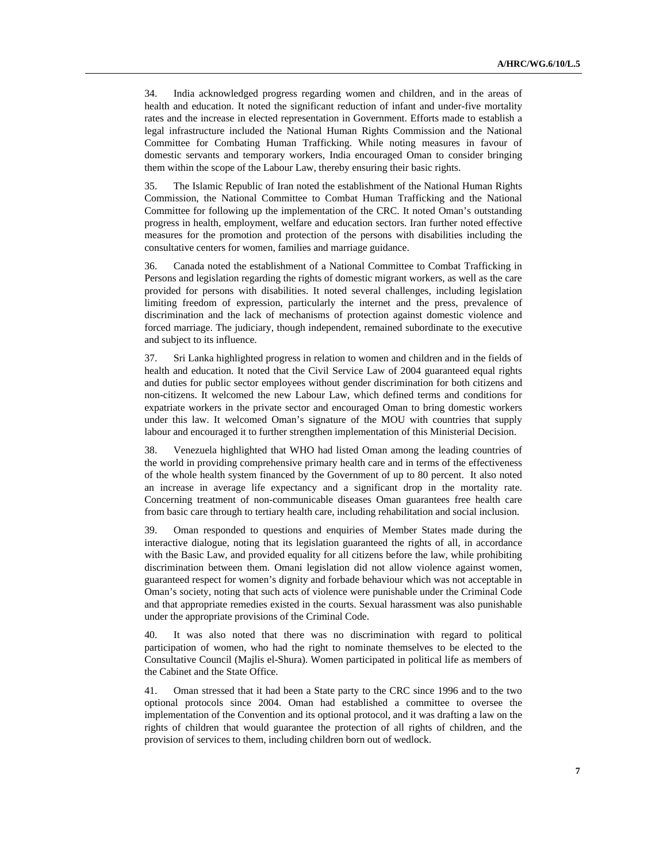34. India acknowledged progress regarding women and children, and in the areas of health and education. It noted the significant reduction of infant and under-five mortality rates and the increase in elected representation in Government. Efforts made to establish a legal infrastructure included the National Human Rights Commission and the National Committee for Combating Human Trafficking. While noting measures in favour of domestic servants and temporary workers, India encouraged Oman to consider bringing them within the scope of the Labour Law, thereby ensuring their basic rights.

35. The Islamic Republic of Iran noted the establishment of the National Human Rights Commission, the National Committee to Combat Human Trafficking and the National Committee for following up the implementation of the CRC. It noted Oman's outstanding progress in health, employment, welfare and education sectors. Iran further noted effective measures for the promotion and protection of the persons with disabilities including the consultative centers for women, families and marriage guidance.

36. Canada noted the establishment of a National Committee to Combat Trafficking in Persons and legislation regarding the rights of domestic migrant workers, as well as the care provided for persons with disabilities. It noted several challenges, including legislation limiting freedom of expression, particularly the internet and the press, prevalence of discrimination and the lack of mechanisms of protection against domestic violence and forced marriage. The judiciary, though independent, remained subordinate to the executive and subject to its influence.

37. Sri Lanka highlighted progress in relation to women and children and in the fields of health and education. It noted that the Civil Service Law of 2004 guaranteed equal rights and duties for public sector employees without gender discrimination for both citizens and non-citizens. It welcomed the new Labour Law, which defined terms and conditions for expatriate workers in the private sector and encouraged Oman to bring domestic workers under this law. It welcomed Oman's signature of the MOU with countries that supply labour and encouraged it to further strengthen implementation of this Ministerial Decision.

38. Venezuela highlighted that WHO had listed Oman among the leading countries of the world in providing comprehensive primary health care and in terms of the effectiveness of the whole health system financed by the Government of up to 80 percent. It also noted an increase in average life expectancy and a significant drop in the mortality rate. Concerning treatment of non-communicable diseases Oman guarantees free health care from basic care through to tertiary health care, including rehabilitation and social inclusion.

39. Oman responded to questions and enquiries of Member States made during the interactive dialogue, noting that its legislation guaranteed the rights of all, in accordance with the Basic Law, and provided equality for all citizens before the law, while prohibiting discrimination between them. Omani legislation did not allow violence against women, guaranteed respect for women's dignity and forbade behaviour which was not acceptable in Oman's society, noting that such acts of violence were punishable under the Criminal Code and that appropriate remedies existed in the courts. Sexual harassment was also punishable under the appropriate provisions of the Criminal Code.

40. It was also noted that there was no discrimination with regard to political participation of women, who had the right to nominate themselves to be elected to the Consultative Council (Majlis el-Shura). Women participated in political life as members of the Cabinet and the State Office.

41. Oman stressed that it had been a State party to the CRC since 1996 and to the two optional protocols since 2004. Oman had established a committee to oversee the implementation of the Convention and its optional protocol, and it was drafting a law on the rights of children that would guarantee the protection of all rights of children, and the provision of services to them, including children born out of wedlock.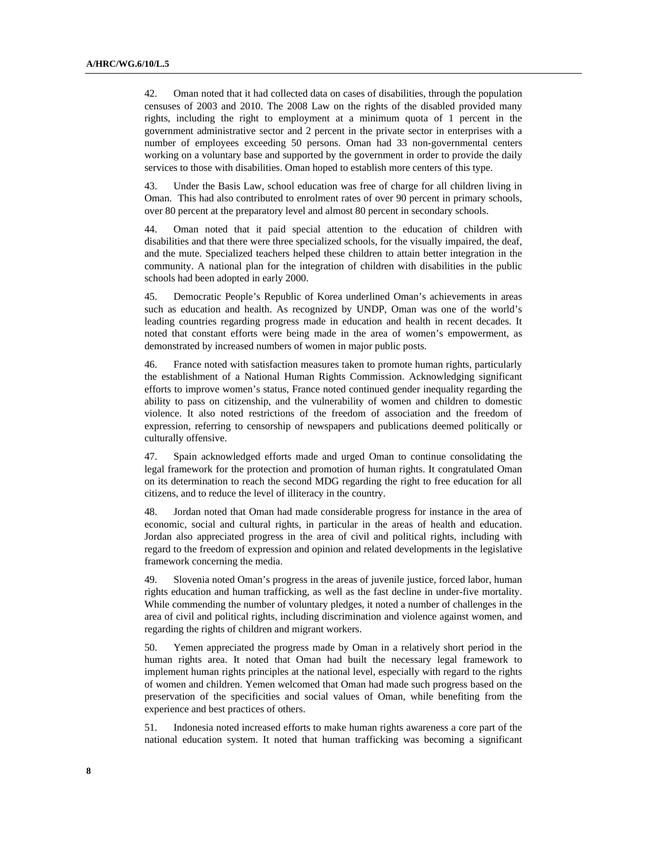42. Oman noted that it had collected data on cases of disabilities, through the population censuses of 2003 and 2010. The 2008 Law on the rights of the disabled provided many rights, including the right to employment at a minimum quota of 1 percent in the government administrative sector and 2 percent in the private sector in enterprises with a number of employees exceeding 50 persons. Oman had 33 non-governmental centers working on a voluntary base and supported by the government in order to provide the daily services to those with disabilities. Oman hoped to establish more centers of this type.

43. Under the Basis Law, school education was free of charge for all children living in Oman. This had also contributed to enrolment rates of over 90 percent in primary schools, over 80 percent at the preparatory level and almost 80 percent in secondary schools.

44. Oman noted that it paid special attention to the education of children with disabilities and that there were three specialized schools, for the visually impaired, the deaf, and the mute. Specialized teachers helped these children to attain better integration in the community. A national plan for the integration of children with disabilities in the public schools had been adopted in early 2000.

45. Democratic People's Republic of Korea underlined Oman's achievements in areas such as education and health. As recognized by UNDP, Oman was one of the world's leading countries regarding progress made in education and health in recent decades. It noted that constant efforts were being made in the area of women's empowerment, as demonstrated by increased numbers of women in major public posts.

46. France noted with satisfaction measures taken to promote human rights, particularly the establishment of a National Human Rights Commission. Acknowledging significant efforts to improve women's status, France noted continued gender inequality regarding the ability to pass on citizenship, and the vulnerability of women and children to domestic violence. It also noted restrictions of the freedom of association and the freedom of expression, referring to censorship of newspapers and publications deemed politically or culturally offensive.

47. Spain acknowledged efforts made and urged Oman to continue consolidating the legal framework for the protection and promotion of human rights. It congratulated Oman on its determination to reach the second MDG regarding the right to free education for all citizens, and to reduce the level of illiteracy in the country.

48. Jordan noted that Oman had made considerable progress for instance in the area of economic, social and cultural rights, in particular in the areas of health and education. Jordan also appreciated progress in the area of civil and political rights, including with regard to the freedom of expression and opinion and related developments in the legislative framework concerning the media.

49. Slovenia noted Oman's progress in the areas of juvenile justice, forced labor, human rights education and human trafficking, as well as the fast decline in under-five mortality. While commending the number of voluntary pledges, it noted a number of challenges in the area of civil and political rights, including discrimination and violence against women, and regarding the rights of children and migrant workers.

50. Yemen appreciated the progress made by Oman in a relatively short period in the human rights area. It noted that Oman had built the necessary legal framework to implement human rights principles at the national level, especially with regard to the rights of women and children. Yemen welcomed that Oman had made such progress based on the preservation of the specificities and social values of Oman, while benefiting from the experience and best practices of others.

51. Indonesia noted increased efforts to make human rights awareness a core part of the national education system. It noted that human trafficking was becoming a significant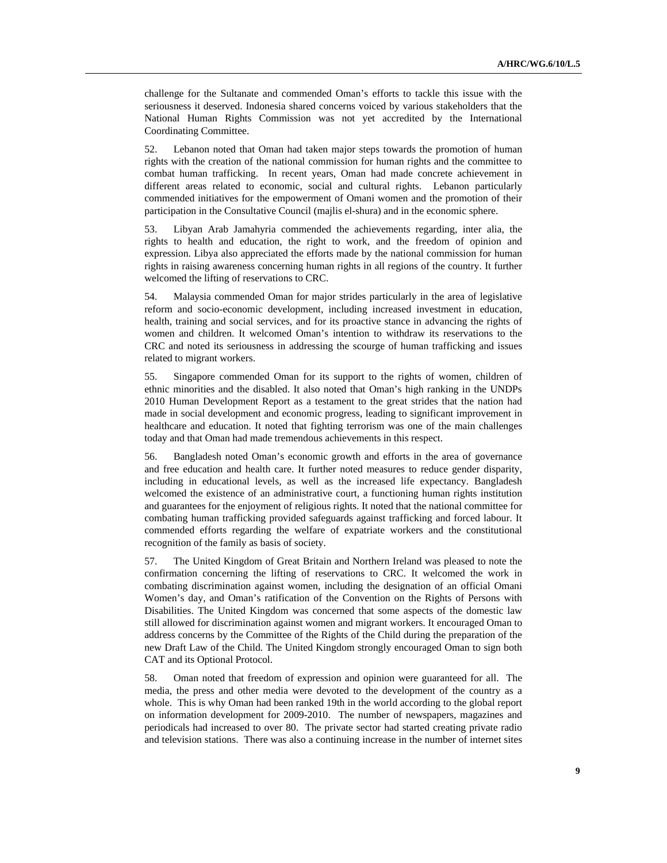challenge for the Sultanate and commended Oman's efforts to tackle this issue with the seriousness it deserved. Indonesia shared concerns voiced by various stakeholders that the National Human Rights Commission was not yet accredited by the International Coordinating Committee.

52. Lebanon noted that Oman had taken major steps towards the promotion of human rights with the creation of the national commission for human rights and the committee to combat human trafficking. In recent years, Oman had made concrete achievement in different areas related to economic, social and cultural rights. Lebanon particularly commended initiatives for the empowerment of Omani women and the promotion of their participation in the Consultative Council (majlis el-shura) and in the economic sphere.

53. Libyan Arab Jamahyria commended the achievements regarding, inter alia, the rights to health and education, the right to work, and the freedom of opinion and expression. Libya also appreciated the efforts made by the national commission for human rights in raising awareness concerning human rights in all regions of the country. It further welcomed the lifting of reservations to CRC.

54. Malaysia commended Oman for major strides particularly in the area of legislative reform and socio-economic development, including increased investment in education, health, training and social services, and for its proactive stance in advancing the rights of women and children. It welcomed Oman's intention to withdraw its reservations to the CRC and noted its seriousness in addressing the scourge of human trafficking and issues related to migrant workers.

55. Singapore commended Oman for its support to the rights of women, children of ethnic minorities and the disabled. It also noted that Oman's high ranking in the UNDPs 2010 Human Development Report as a testament to the great strides that the nation had made in social development and economic progress, leading to significant improvement in healthcare and education. It noted that fighting terrorism was one of the main challenges today and that Oman had made tremendous achievements in this respect.

56. Bangladesh noted Oman's economic growth and efforts in the area of governance and free education and health care. It further noted measures to reduce gender disparity, including in educational levels, as well as the increased life expectancy. Bangladesh welcomed the existence of an administrative court, a functioning human rights institution and guarantees for the enjoyment of religious rights. It noted that the national committee for combating human trafficking provided safeguards against trafficking and forced labour. It commended efforts regarding the welfare of expatriate workers and the constitutional recognition of the family as basis of society.

57. The United Kingdom of Great Britain and Northern Ireland was pleased to note the confirmation concerning the lifting of reservations to CRC. It welcomed the work in combating discrimination against women, including the designation of an official Omani Women's day, and Oman's ratification of the Convention on the Rights of Persons with Disabilities. The United Kingdom was concerned that some aspects of the domestic law still allowed for discrimination against women and migrant workers. It encouraged Oman to address concerns by the Committee of the Rights of the Child during the preparation of the new Draft Law of the Child. The United Kingdom strongly encouraged Oman to sign both CAT and its Optional Protocol.

58. Oman noted that freedom of expression and opinion were guaranteed for all. The media, the press and other media were devoted to the development of the country as a whole. This is why Oman had been ranked 19th in the world according to the global report on information development for 2009-2010. The number of newspapers, magazines and periodicals had increased to over 80. The private sector had started creating private radio and television stations. There was also a continuing increase in the number of internet sites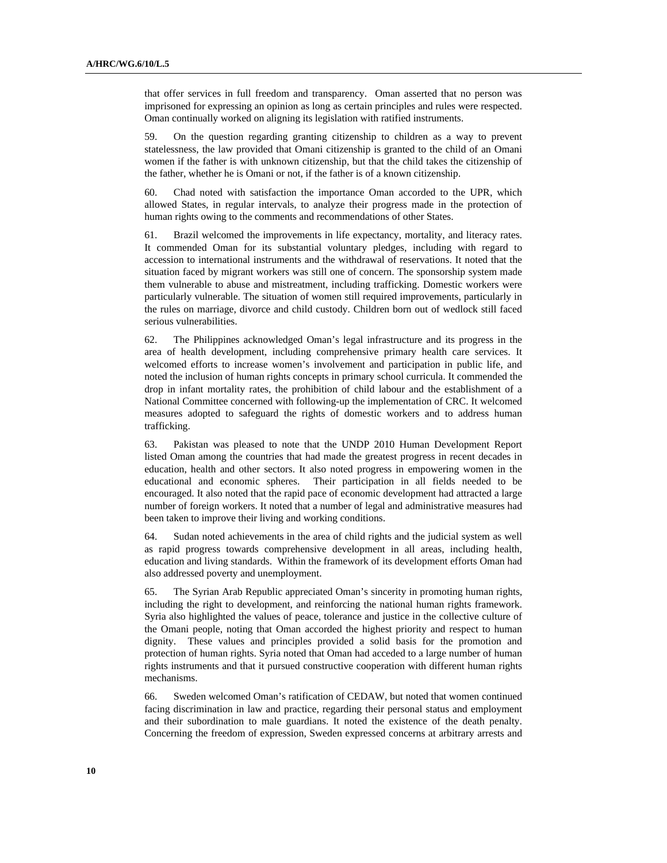that offer services in full freedom and transparency. Oman asserted that no person was imprisoned for expressing an opinion as long as certain principles and rules were respected. Oman continually worked on aligning its legislation with ratified instruments.

59. On the question regarding granting citizenship to children as a way to prevent statelessness, the law provided that Omani citizenship is granted to the child of an Omani women if the father is with unknown citizenship, but that the child takes the citizenship of the father, whether he is Omani or not, if the father is of a known citizenship.

60. Chad noted with satisfaction the importance Oman accorded to the UPR, which allowed States, in regular intervals, to analyze their progress made in the protection of human rights owing to the comments and recommendations of other States.

61. Brazil welcomed the improvements in life expectancy, mortality, and literacy rates. It commended Oman for its substantial voluntary pledges, including with regard to accession to international instruments and the withdrawal of reservations. It noted that the situation faced by migrant workers was still one of concern. The sponsorship system made them vulnerable to abuse and mistreatment, including trafficking. Domestic workers were particularly vulnerable. The situation of women still required improvements, particularly in the rules on marriage, divorce and child custody. Children born out of wedlock still faced serious vulnerabilities.

62. The Philippines acknowledged Oman's legal infrastructure and its progress in the area of health development, including comprehensive primary health care services. It welcomed efforts to increase women's involvement and participation in public life, and noted the inclusion of human rights concepts in primary school curricula. It commended the drop in infant mortality rates, the prohibition of child labour and the establishment of a National Committee concerned with following-up the implementation of CRC. It welcomed measures adopted to safeguard the rights of domestic workers and to address human trafficking.

63. Pakistan was pleased to note that the UNDP 2010 Human Development Report listed Oman among the countries that had made the greatest progress in recent decades in education, health and other sectors. It also noted progress in empowering women in the educational and economic spheres. Their participation in all fields needed to be encouraged. It also noted that the rapid pace of economic development had attracted a large number of foreign workers. It noted that a number of legal and administrative measures had been taken to improve their living and working conditions.

64. Sudan noted achievements in the area of child rights and the judicial system as well as rapid progress towards comprehensive development in all areas, including health, education and living standards. Within the framework of its development efforts Oman had also addressed poverty and unemployment.

65. The Syrian Arab Republic appreciated Oman's sincerity in promoting human rights, including the right to development, and reinforcing the national human rights framework. Syria also highlighted the values of peace, tolerance and justice in the collective culture of the Omani people, noting that Oman accorded the highest priority and respect to human dignity. These values and principles provided a solid basis for the promotion and protection of human rights. Syria noted that Oman had acceded to a large number of human rights instruments and that it pursued constructive cooperation with different human rights mechanisms.

66. Sweden welcomed Oman's ratification of CEDAW, but noted that women continued facing discrimination in law and practice, regarding their personal status and employment and their subordination to male guardians. It noted the existence of the death penalty. Concerning the freedom of expression, Sweden expressed concerns at arbitrary arrests and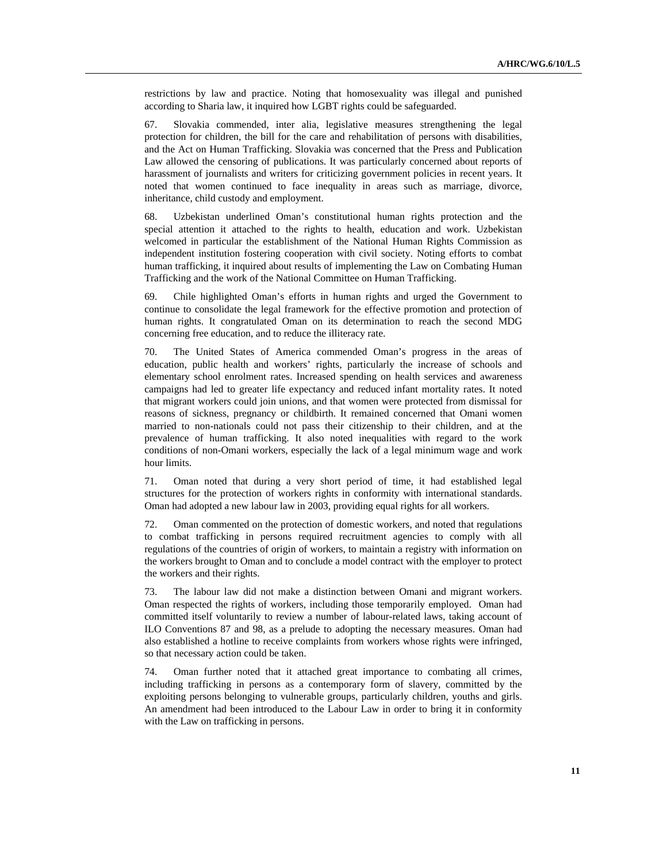restrictions by law and practice. Noting that homosexuality was illegal and punished according to Sharia law, it inquired how LGBT rights could be safeguarded.

67. Slovakia commended, inter alia, legislative measures strengthening the legal protection for children, the bill for the care and rehabilitation of persons with disabilities, and the Act on Human Trafficking. Slovakia was concerned that the Press and Publication Law allowed the censoring of publications. It was particularly concerned about reports of harassment of journalists and writers for criticizing government policies in recent years. It noted that women continued to face inequality in areas such as marriage, divorce, inheritance, child custody and employment.

68. Uzbekistan underlined Oman's constitutional human rights protection and the special attention it attached to the rights to health, education and work. Uzbekistan welcomed in particular the establishment of the National Human Rights Commission as independent institution fostering cooperation with civil society. Noting efforts to combat human trafficking, it inquired about results of implementing the Law on Combating Human Trafficking and the work of the National Committee on Human Trafficking.

69. Chile highlighted Oman's efforts in human rights and urged the Government to continue to consolidate the legal framework for the effective promotion and protection of human rights. It congratulated Oman on its determination to reach the second MDG concerning free education, and to reduce the illiteracy rate.

70. The United States of America commended Oman's progress in the areas of education, public health and workers' rights, particularly the increase of schools and elementary school enrolment rates. Increased spending on health services and awareness campaigns had led to greater life expectancy and reduced infant mortality rates. It noted that migrant workers could join unions, and that women were protected from dismissal for reasons of sickness, pregnancy or childbirth. It remained concerned that Omani women married to non-nationals could not pass their citizenship to their children, and at the prevalence of human trafficking. It also noted inequalities with regard to the work conditions of non-Omani workers, especially the lack of a legal minimum wage and work hour limits.

71. Oman noted that during a very short period of time, it had established legal structures for the protection of workers rights in conformity with international standards. Oman had adopted a new labour law in 2003, providing equal rights for all workers.

72. Oman commented on the protection of domestic workers, and noted that regulations to combat trafficking in persons required recruitment agencies to comply with all regulations of the countries of origin of workers, to maintain a registry with information on the workers brought to Oman and to conclude a model contract with the employer to protect the workers and their rights.

73. The labour law did not make a distinction between Omani and migrant workers. Oman respected the rights of workers, including those temporarily employed. Oman had committed itself voluntarily to review a number of labour-related laws, taking account of ILO Conventions 87 and 98, as a prelude to adopting the necessary measures. Oman had also established a hotline to receive complaints from workers whose rights were infringed, so that necessary action could be taken.

74. Oman further noted that it attached great importance to combating all crimes, including trafficking in persons as a contemporary form of slavery, committed by the exploiting persons belonging to vulnerable groups, particularly children, youths and girls. An amendment had been introduced to the Labour Law in order to bring it in conformity with the Law on trafficking in persons.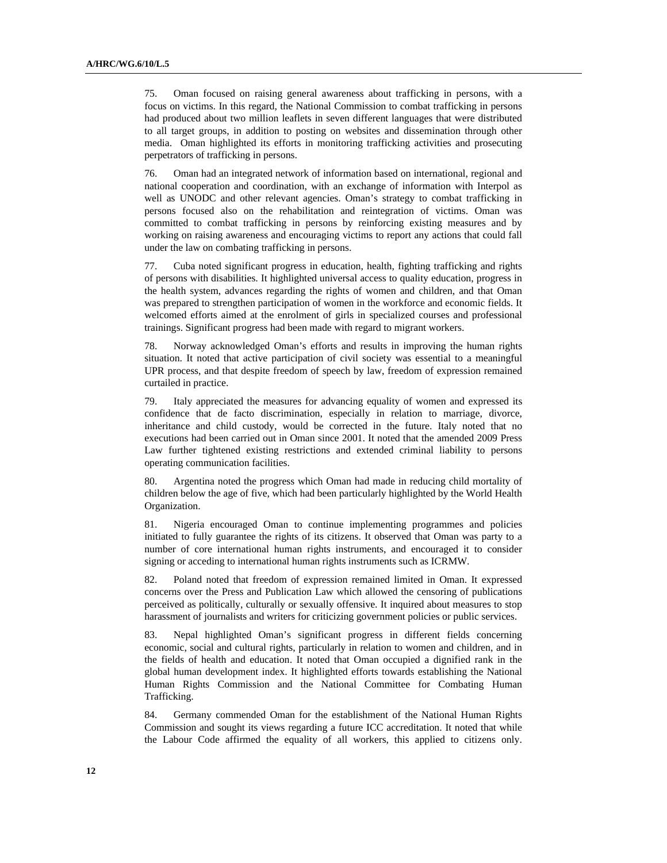75. Oman focused on raising general awareness about trafficking in persons, with a focus on victims. In this regard, the National Commission to combat trafficking in persons had produced about two million leaflets in seven different languages that were distributed to all target groups, in addition to posting on websites and dissemination through other media. Oman highlighted its efforts in monitoring trafficking activities and prosecuting perpetrators of trafficking in persons.

76. Oman had an integrated network of information based on international, regional and national cooperation and coordination, with an exchange of information with Interpol as well as UNODC and other relevant agencies. Oman's strategy to combat trafficking in persons focused also on the rehabilitation and reintegration of victims. Oman was committed to combat trafficking in persons by reinforcing existing measures and by working on raising awareness and encouraging victims to report any actions that could fall under the law on combating trafficking in persons.

77. Cuba noted significant progress in education, health, fighting trafficking and rights of persons with disabilities. It highlighted universal access to quality education, progress in the health system, advances regarding the rights of women and children, and that Oman was prepared to strengthen participation of women in the workforce and economic fields. It welcomed efforts aimed at the enrolment of girls in specialized courses and professional trainings. Significant progress had been made with regard to migrant workers.

78. Norway acknowledged Oman's efforts and results in improving the human rights situation. It noted that active participation of civil society was essential to a meaningful UPR process, and that despite freedom of speech by law, freedom of expression remained curtailed in practice.

79. Italy appreciated the measures for advancing equality of women and expressed its confidence that de facto discrimination, especially in relation to marriage, divorce, inheritance and child custody, would be corrected in the future. Italy noted that no executions had been carried out in Oman since 2001. It noted that the amended 2009 Press Law further tightened existing restrictions and extended criminal liability to persons operating communication facilities.

80. Argentina noted the progress which Oman had made in reducing child mortality of children below the age of five, which had been particularly highlighted by the World Health Organization.

81. Nigeria encouraged Oman to continue implementing programmes and policies initiated to fully guarantee the rights of its citizens. It observed that Oman was party to a number of core international human rights instruments, and encouraged it to consider signing or acceding to international human rights instruments such as ICRMW.

82. Poland noted that freedom of expression remained limited in Oman. It expressed concerns over the Press and Publication Law which allowed the censoring of publications perceived as politically, culturally or sexually offensive. It inquired about measures to stop harassment of journalists and writers for criticizing government policies or public services.

83. Nepal highlighted Oman's significant progress in different fields concerning economic, social and cultural rights, particularly in relation to women and children, and in the fields of health and education. It noted that Oman occupied a dignified rank in the global human development index. It highlighted efforts towards establishing the National Human Rights Commission and the National Committee for Combating Human Trafficking.

84. Germany commended Oman for the establishment of the National Human Rights Commission and sought its views regarding a future ICC accreditation. It noted that while the Labour Code affirmed the equality of all workers, this applied to citizens only.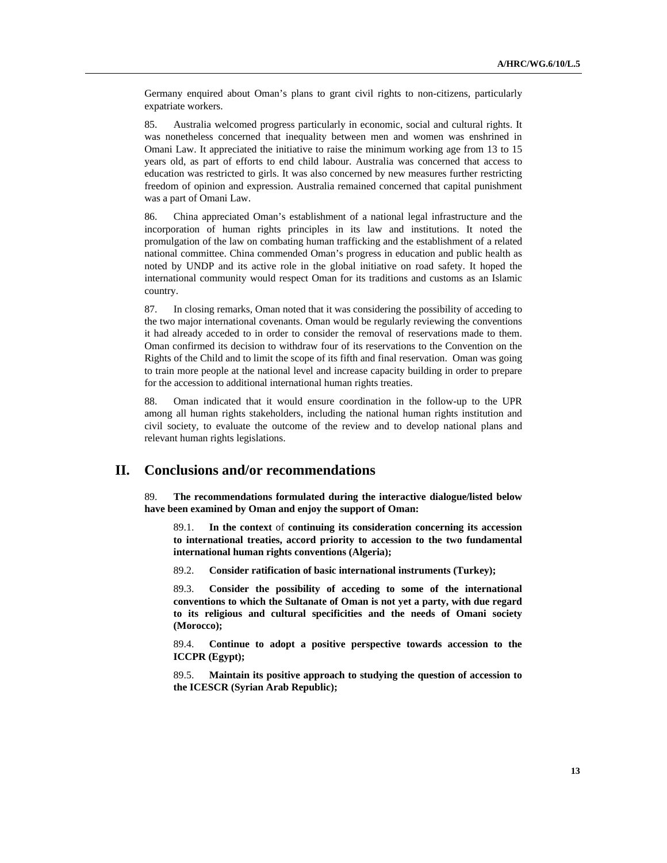Germany enquired about Oman's plans to grant civil rights to non-citizens, particularly expatriate workers.

85. Australia welcomed progress particularly in economic, social and cultural rights. It was nonetheless concerned that inequality between men and women was enshrined in Omani Law. It appreciated the initiative to raise the minimum working age from 13 to 15 years old, as part of efforts to end child labour. Australia was concerned that access to education was restricted to girls. It was also concerned by new measures further restricting freedom of opinion and expression. Australia remained concerned that capital punishment was a part of Omani Law.

86. China appreciated Oman's establishment of a national legal infrastructure and the incorporation of human rights principles in its law and institutions. It noted the promulgation of the law on combating human trafficking and the establishment of a related national committee. China commended Oman's progress in education and public health as noted by UNDP and its active role in the global initiative on road safety. It hoped the international community would respect Oman for its traditions and customs as an Islamic country.

87. In closing remarks, Oman noted that it was considering the possibility of acceding to the two major international covenants. Oman would be regularly reviewing the conventions it had already acceded to in order to consider the removal of reservations made to them. Oman confirmed its decision to withdraw four of its reservations to the Convention on the Rights of the Child and to limit the scope of its fifth and final reservation. Oman was going to train more people at the national level and increase capacity building in order to prepare for the accession to additional international human rights treaties.

88. Oman indicated that it would ensure coordination in the follow-up to the UPR among all human rights stakeholders, including the national human rights institution and civil society, to evaluate the outcome of the review and to develop national plans and relevant human rights legislations.

## **II. Conclusions and/or recommendations**

89. **The recommendations formulated during the interactive dialogue/listed below have been examined by Oman and enjoy the support of Oman:**

 89.1. **In the context** of **continuing its consideration concerning its accession to international treaties, accord priority to accession to the two fundamental international human rights conventions (Algeria);**

89.2. **Consider ratification of basic international instruments (Turkey);**

 89.3. **Consider the possibility of acceding to some of the international conventions to which the Sultanate of Oman is not yet a party, with due regard to its religious and cultural specificities and the needs of Omani society (Morocco);**

 89.4. **Continue to adopt a positive perspective towards accession to the ICCPR (Egypt);**

 89.5. **Maintain its positive approach to studying the question of accession to the ICESCR (Syrian Arab Republic);**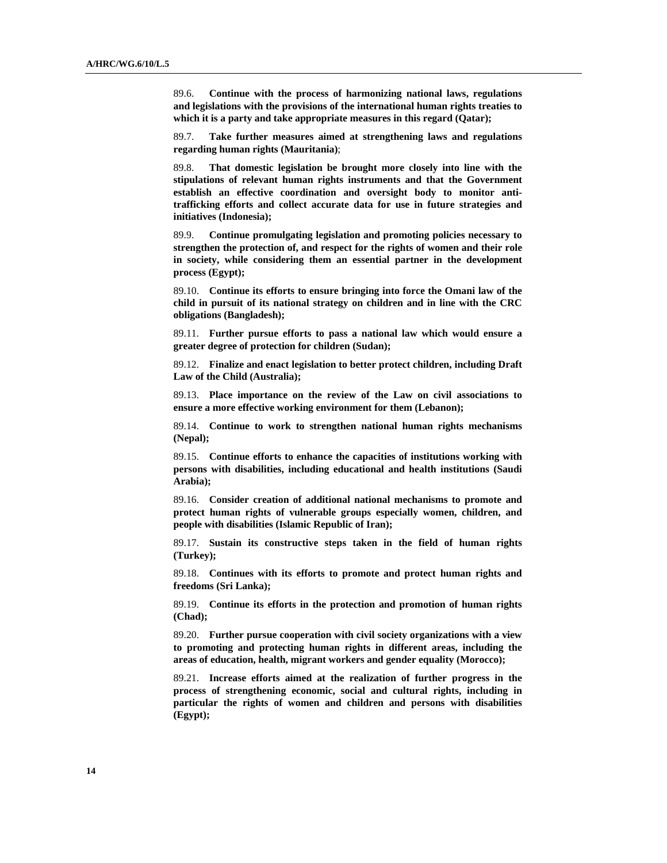89.6. **Continue with the process of harmonizing national laws, regulations and legislations with the provisions of the international human rights treaties to which it is a party and take appropriate measures in this regard (Qatar);**

 89.7. **Take further measures aimed at strengthening laws and regulations regarding human rights (Mauritania)**;

 89.8. **That domestic legislation be brought more closely into line with the stipulations of relevant human rights instruments and that the Government establish an effective coordination and oversight body to monitor antitrafficking efforts and collect accurate data for use in future strategies and initiatives (Indonesia);**

 89.9. **Continue promulgating legislation and promoting policies necessary to strengthen the protection of, and respect for the rights of women and their role in society, while considering them an essential partner in the development process (Egypt);**

 89.10. **Continue its efforts to ensure bringing into force the Omani law of the child in pursuit of its national strategy on children and in line with the CRC obligations (Bangladesh);**

 89.11. **Further pursue efforts to pass a national law which would ensure a greater degree of protection for children (Sudan);**

 89.12. **Finalize and enact legislation to better protect children, including Draft Law of the Child (Australia);** 

 89.13. **Place importance on the review of the Law on civil associations to ensure a more effective working environment for them (Lebanon);**

 89.14. **Continue to work to strengthen national human rights mechanisms (Nepal);**

 89.15. **Continue efforts to enhance the capacities of institutions working with persons with disabilities, including educational and health institutions (Saudi Arabia);**

 89.16. **Consider creation of additional national mechanisms to promote and protect human rights of vulnerable groups especially women, children, and people with disabilities (Islamic Republic of Iran);**

 89.17. **Sustain its constructive steps taken in the field of human rights (Turkey);**

 89.18. **Continues with its efforts to promote and protect human rights and freedoms (Sri Lanka);**

 89.19. **Continue its efforts in the protection and promotion of human rights (Chad);**

 89.20. **Further pursue cooperation with civil society organizations with a view to promoting and protecting human rights in different areas, including the areas of education, health, migrant workers and gender equality (Morocco);**

 89.21. **Increase efforts aimed at the realization of further progress in the process of strengthening economic, social and cultural rights, including in particular the rights of women and children and persons with disabilities (Egypt);**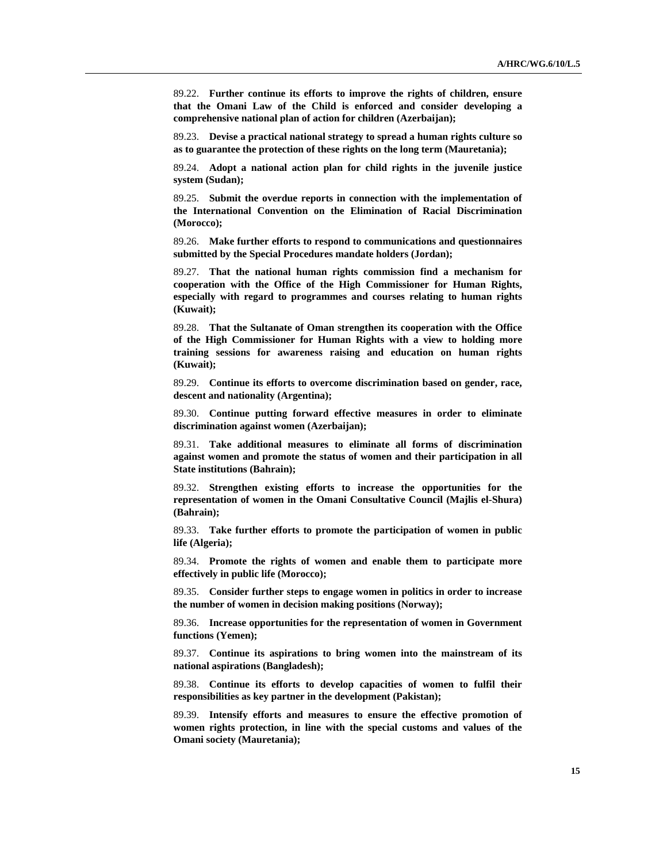89.22. **Further continue its efforts to improve the rights of children, ensure that the Omani Law of the Child is enforced and consider developing a comprehensive national plan of action for children (Azerbaijan);**

 89.23. **Devise a practical national strategy to spread a human rights culture so as to guarantee the protection of these rights on the long term (Mauretania);**

 89.24. **Adopt a national action plan for child rights in the juvenile justice system (Sudan);**

 89.25. **Submit the overdue reports in connection with the implementation of the International Convention on the Elimination of Racial Discrimination (Morocco);**

 89.26. **Make further efforts to respond to communications and questionnaires submitted by the Special Procedures mandate holders (Jordan);**

 89.27. **That the national human rights commission find a mechanism for cooperation with the Office of the High Commissioner for Human Rights, especially with regard to programmes and courses relating to human rights (Kuwait);**

 89.28. **That the Sultanate of Oman strengthen its cooperation with the Office of the High Commissioner for Human Rights with a view to holding more training sessions for awareness raising and education on human rights (Kuwait);** 

 89.29. **Continue its efforts to overcome discrimination based on gender, race, descent and nationality (Argentina);**

 89.30. **Continue putting forward effective measures in order to eliminate discrimination against women (Azerbaijan);**

 89.31. **Take additional measures to eliminate all forms of discrimination against women and promote the status of women and their participation in all State institutions (Bahrain);**

 89.32. **Strengthen existing efforts to increase the opportunities for the representation of women in the Omani Consultative Council (Majlis el-Shura) (Bahrain);**

 89.33. **Take further efforts to promote the participation of women in public life (Algeria);**

 89.34. **Promote the rights of women and enable them to participate more effectively in public life (Morocco);**

 89.35. **Consider further steps to engage women in politics in order to increase the number of women in decision making positions (Norway);**

 89.36. **Increase opportunities for the representation of women in Government functions (Yemen);**

 89.37. **Continue its aspirations to bring women into the mainstream of its national aspirations (Bangladesh);**

 89.38. **Continue its efforts to develop capacities of women to fulfil their responsibilities as key partner in the development (Pakistan);**

 89.39. **Intensify efforts and measures to ensure the effective promotion of women rights protection, in line with the special customs and values of the Omani society (Mauretania);**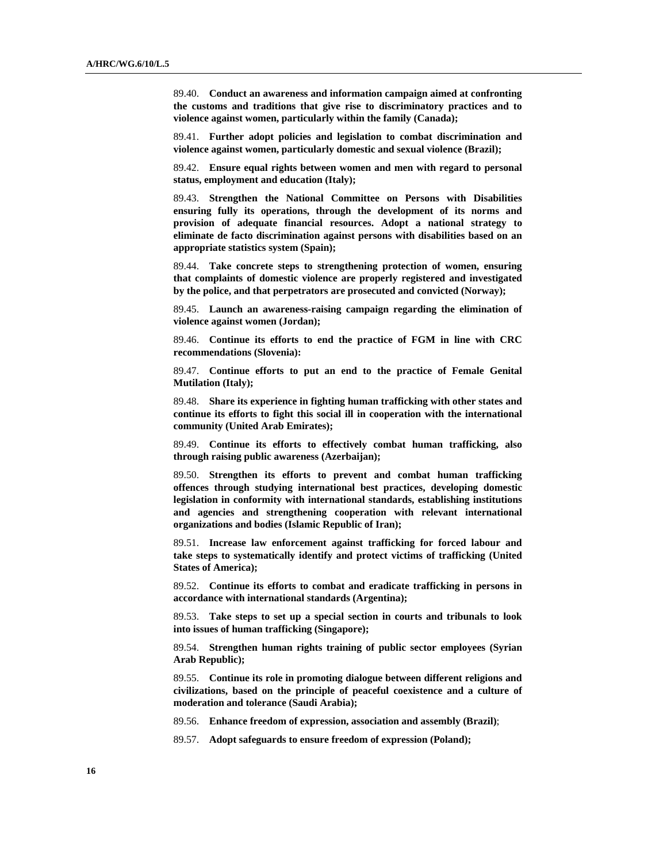89.40. **Conduct an awareness and information campaign aimed at confronting the customs and traditions that give rise to discriminatory practices and to violence against women, particularly within the family (Canada);**

 89.41. **Further adopt policies and legislation to combat discrimination and violence against women, particularly domestic and sexual violence (Brazil);**

 89.42. **Ensure equal rights between women and men with regard to personal status, employment and education (Italy);**

 89.43. **Strengthen the National Committee on Persons with Disabilities ensuring fully its operations, through the development of its norms and provision of adequate financial resources. Adopt a national strategy to eliminate de facto discrimination against persons with disabilities based on an appropriate statistics system (Spain);**

 89.44. **Take concrete steps to strengthening protection of women, ensuring that complaints of domestic violence are properly registered and investigated by the police, and that perpetrators are prosecuted and convicted (Norway);**

 89.45. **Launch an awareness-raising campaign regarding the elimination of violence against women (Jordan);**

 89.46. **Continue its efforts to end the practice of FGM in line with CRC recommendations (Slovenia):**

 89.47. **Continue efforts to put an end to the practice of Female Genital Mutilation (Italy);**

 89.48. **Share its experience in fighting human trafficking with other states and continue its efforts to fight this social ill in cooperation with the international community (United Arab Emirates);**

 89.49. **Continue its efforts to effectively combat human trafficking, also through raising public awareness (Azerbaijan);**

 89.50. **Strengthen its efforts to prevent and combat human trafficking offences through studying international best practices, developing domestic legislation in conformity with international standards, establishing institutions and agencies and strengthening cooperation with relevant international organizations and bodies (Islamic Republic of Iran);**

 89.51. **Increase law enforcement against trafficking for forced labour and take steps to systematically identify and protect victims of trafficking (United States of America);**

 89.52. **Continue its efforts to combat and eradicate trafficking in persons in accordance with international standards (Argentina);**

 89.53. **Take steps to set up a special section in courts and tribunals to look into issues of human trafficking (Singapore);**

 89.54. **Strengthen human rights training of public sector employees (Syrian Arab Republic);**

 89.55. **Continue its role in promoting dialogue between different religions and civilizations, based on the principle of peaceful coexistence and a culture of moderation and tolerance (Saudi Arabia);** 

89.56. **Enhance freedom of expression, association and assembly (Brazil)**;

89.57. **Adopt safeguards to ensure freedom of expression (Poland);**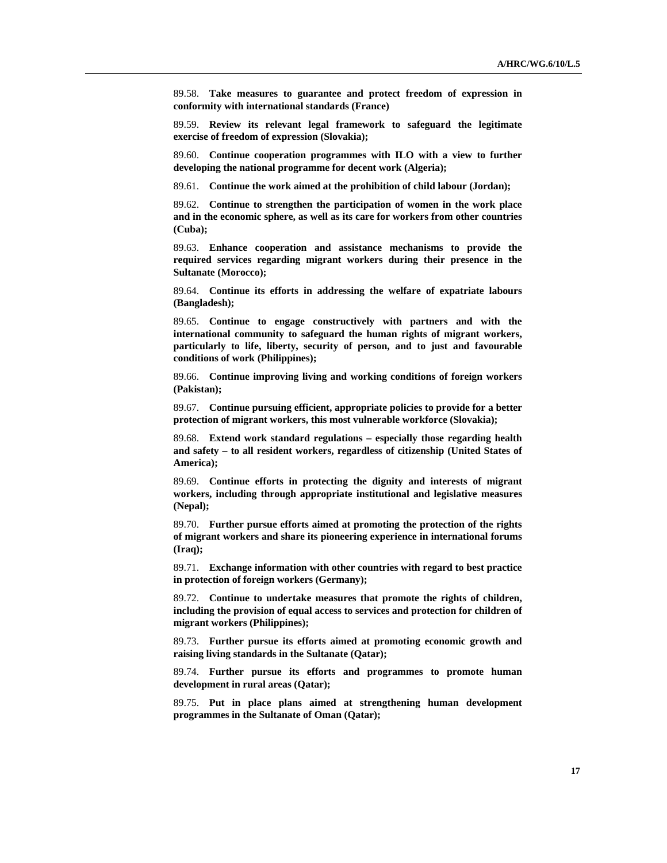89.58. **Take measures to guarantee and protect freedom of expression in conformity with international standards (France)**

 89.59. **Review its relevant legal framework to safeguard the legitimate exercise of freedom of expression (Slovakia);**

 89.60. **Continue cooperation programmes with ILO with a view to further developing the national programme for decent work (Algeria);**

89.61. **Continue the work aimed at the prohibition of child labour (Jordan);** 

 89.62. **Continue to strengthen the participation of women in the work place and in the economic sphere, as well as its care for workers from other countries (Cuba);**

 89.63. **Enhance cooperation and assistance mechanisms to provide the required services regarding migrant workers during their presence in the Sultanate (Morocco);**

 89.64. **Continue its efforts in addressing the welfare of expatriate labours (Bangladesh);**

 89.65. **Continue to engage constructively with partners and with the international community to safeguard the human rights of migrant workers, particularly to life, liberty, security of person, and to just and favourable conditions of work (Philippines);**

 89.66. **Continue improving living and working conditions of foreign workers (Pakistan);**

 89.67. **Continue pursuing efficient, appropriate policies to provide for a better protection of migrant workers, this most vulnerable workforce (Slovakia);**

 89.68. **Extend work standard regulations – especially those regarding health and safety – to all resident workers, regardless of citizenship (United States of America);** 

 89.69. **Continue efforts in protecting the dignity and interests of migrant workers, including through appropriate institutional and legislative measures (Nepal);**

 89.70. **Further pursue efforts aimed at promoting the protection of the rights of migrant workers and share its pioneering experience in international forums (Iraq);**

 89.71. **Exchange information with other countries with regard to best practice in protection of foreign workers (Germany);**

 89.72. **Continue to undertake measures that promote the rights of children, including the provision of equal access to services and protection for children of migrant workers (Philippines);**

 89.73. **Further pursue its efforts aimed at promoting economic growth and raising living standards in the Sultanate (Qatar);**

 89.74. **Further pursue its efforts and programmes to promote human development in rural areas (Qatar);**

 89.75. **Put in place plans aimed at strengthening human development programmes in the Sultanate of Oman (Qatar);**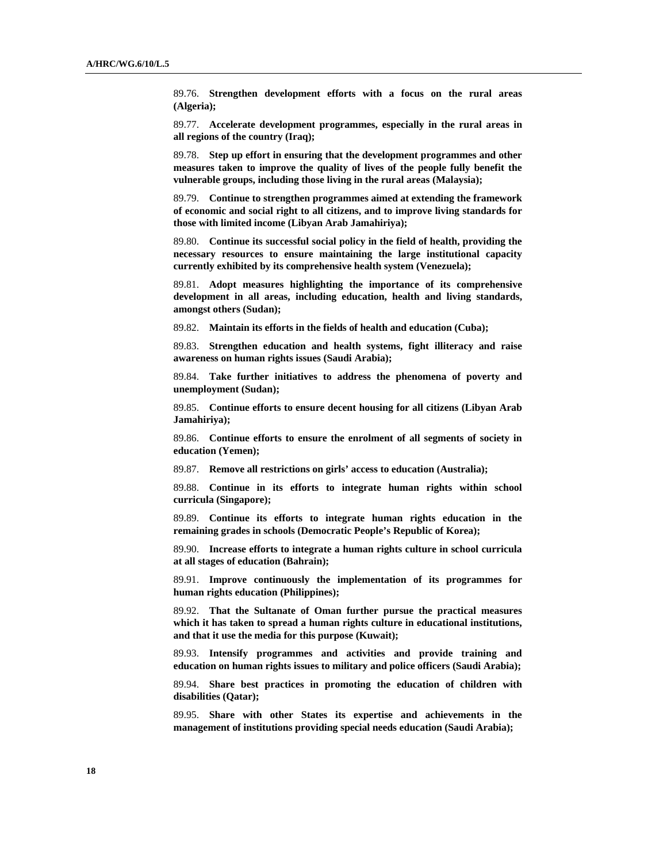89.76. **Strengthen development efforts with a focus on the rural areas (Algeria);**

 89.77. **Accelerate development programmes, especially in the rural areas in all regions of the country (Iraq);**

 89.78. **Step up effort in ensuring that the development programmes and other measures taken to improve the quality of lives of the people fully benefit the vulnerable groups, including those living in the rural areas (Malaysia);**

 89.79. **Continue to strengthen programmes aimed at extending the framework of economic and social right to all citizens, and to improve living standards for those with limited income (Libyan Arab Jamahiriya);**

 89.80. **Continue its successful social policy in the field of health, providing the necessary resources to ensure maintaining the large institutional capacity currently exhibited by its comprehensive health system (Venezuela);**

 89.81. **Adopt measures highlighting the importance of its comprehensive development in all areas, including education, health and living standards, amongst others (Sudan);**

89.82. **Maintain its efforts in the fields of health and education (Cuba);**

 89.83. **Strengthen education and health systems, fight illiteracy and raise awareness on human rights issues (Saudi Arabia);**

 89.84. **Take further initiatives to address the phenomena of poverty and unemployment (Sudan);**

 89.85. **Continue efforts to ensure decent housing for all citizens (Libyan Arab Jamahiriya);**

 89.86. **Continue efforts to ensure the enrolment of all segments of society in education (Yemen);**

89.87. **Remove all restrictions on girls' access to education (Australia);**

 89.88. **Continue in its efforts to integrate human rights within school curricula (Singapore);**

 89.89. **Continue its efforts to integrate human rights education in the remaining grades in schools (Democratic People's Republic of Korea);**

 89.90. **Increase efforts to integrate a human rights culture in school curricula at all stages of education (Bahrain);**

 89.91. **Improve continuously the implementation of its programmes for human rights education (Philippines);**

 89.92. **That the Sultanate of Oman further pursue the practical measures which it has taken to spread a human rights culture in educational institutions, and that it use the media for this purpose (Kuwait);** 

 89.93. **Intensify programmes and activities and provide training and education on human rights issues to military and police officers (Saudi Arabia);**

 89.94. **Share best practices in promoting the education of children with disabilities (Qatar);**

 89.95. **Share with other States its expertise and achievements in the management of institutions providing special needs education (Saudi Arabia);**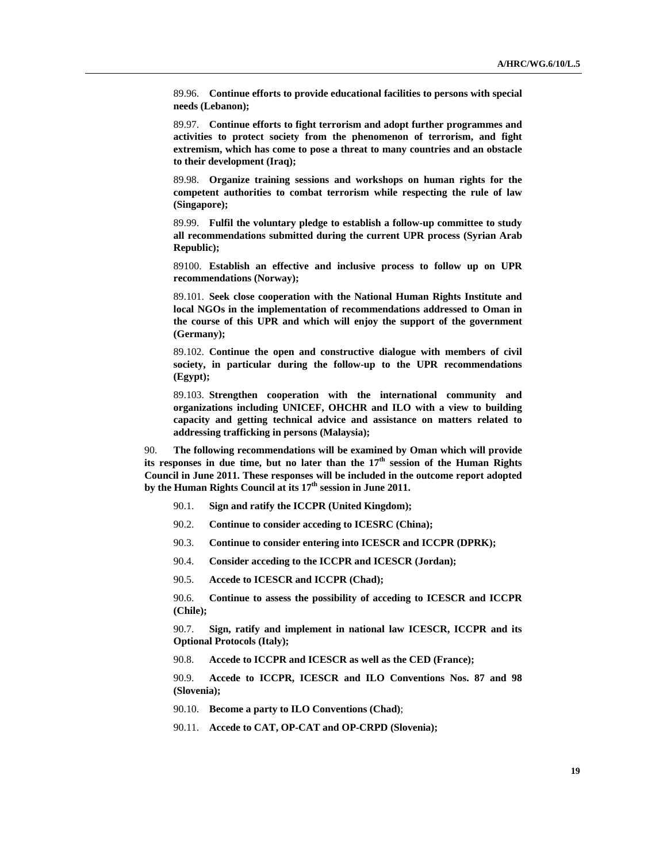89.96. **Continue efforts to provide educational facilities to persons with special needs (Lebanon);**

 89.97. **Continue efforts to fight terrorism and adopt further programmes and activities to protect society from the phenomenon of terrorism, and fight extremism, which has come to pose a threat to many countries and an obstacle to their development (Iraq);**

 89.98. **Organize training sessions and workshops on human rights for the competent authorities to combat terrorism while respecting the rule of law (Singapore);**

 89.99. **Fulfil the voluntary pledge to establish a follow-up committee to study all recommendations submitted during the current UPR process (Syrian Arab Republic);**

 89100. **Establish an effective and inclusive process to follow up on UPR recommendations (Norway);**

 89.101. **Seek close cooperation with the National Human Rights Institute and local NGOs in the implementation of recommendations addressed to Oman in the course of this UPR and which will enjoy the support of the government (Germany);**

 89.102. **Continue the open and constructive dialogue with members of civil society, in particular during the follow-up to the UPR recommendations (Egypt);**

 89.103. **Strengthen cooperation with the international community and organizations including UNICEF, OHCHR and ILO with a view to building capacity and getting technical advice and assistance on matters related to addressing trafficking in persons (Malaysia);**

90. **The following recommendations will be examined by Oman which will provide**  its responses in due time, but no later than the 17<sup>th</sup> session of the Human Rights **Council in June 2011. These responses will be included in the outcome report adopted**  by the Human Rights Council at its 17<sup>th</sup> session in June 2011.

- 90.1. **Sign and ratify the ICCPR (United Kingdom);**
- 90.2. **Continue to consider acceding to ICESRC (China);**
- 90.3. **Continue to consider entering into ICESCR and ICCPR (DPRK);**
- 90.4. **Consider acceding to the ICCPR and ICESCR (Jordan);**
- 90.5. **Accede to ICESCR and ICCPR (Chad);**

 90.6. **Continue to assess the possibility of acceding to ICESCR and ICCPR (Chile);**

 90.7. **Sign, ratify and implement in national law ICESCR, ICCPR and its Optional Protocols (Italy);**

90.8. **Accede to ICCPR and ICESCR as well as the CED (France);**

 90.9. **Accede to ICCPR, ICESCR and ILO Conventions Nos. 87 and 98 (Slovenia);**

90.10. **Become a party to ILO Conventions (Chad)**;

90.11. **Accede to CAT, OP-CAT and OP-CRPD (Slovenia);**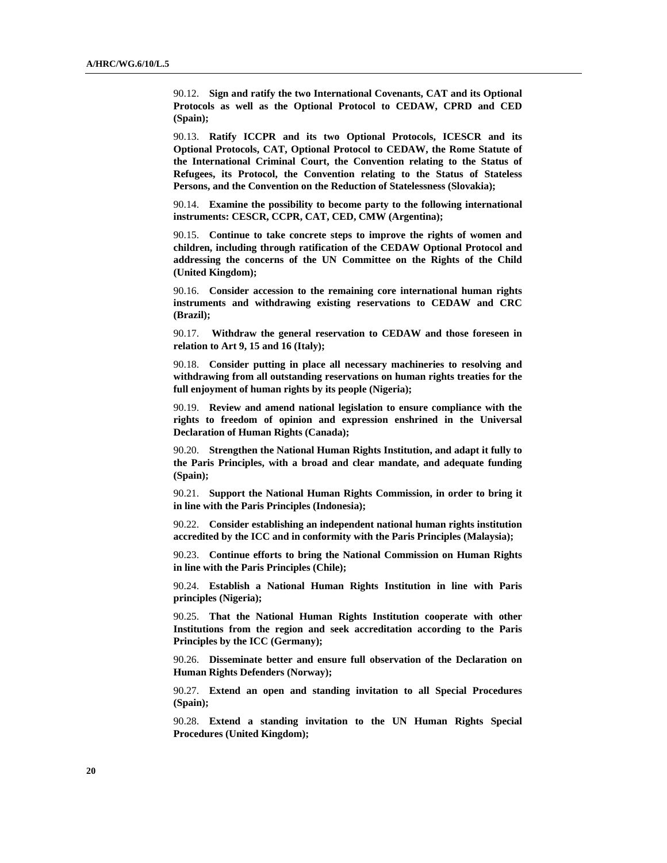90.12. **Sign and ratify the two International Covenants, CAT and its Optional Protocols as well as the Optional Protocol to CEDAW, CPRD and CED (Spain);**

 90.13. **Ratify ICCPR and its two Optional Protocols, ICESCR and its Optional Protocols, CAT, Optional Protocol to CEDAW, the Rome Statute of the International Criminal Court, the Convention relating to the Status of Refugees, its Protocol, the Convention relating to the Status of Stateless Persons, and the Convention on the Reduction of Statelessness (Slovakia);**

 90.14. **Examine the possibility to become party to the following international instruments: CESCR, CCPR, CAT, CED, CMW (Argentina);** 

90.15. **Continue to take concrete steps to improve the rights of women and children, including through ratification of the CEDAW Optional Protocol and addressing the concerns of the UN Committee on the Rights of the Child (United Kingdom);**

 90.16. **Consider accession to the remaining core international human rights instruments and withdrawing existing reservations to CEDAW and CRC (Brazil);** 

 90.17. **Withdraw the general reservation to CEDAW and those foreseen in relation to Art 9, 15 and 16 (Italy);**

 90.18. **Consider putting in place all necessary machineries to resolving and withdrawing from all outstanding reservations on human rights treaties for the full enjoyment of human rights by its people (Nigeria);**

 90.19. **Review and amend national legislation to ensure compliance with the rights to freedom of opinion and expression enshrined in the Universal Declaration of Human Rights (Canada);**

 90.20. **Strengthen the National Human Rights Institution, and adapt it fully to the Paris Principles, with a broad and clear mandate, and adequate funding (Spain);**

 90.21. **Support the National Human Rights Commission, in order to bring it in line with the Paris Principles (Indonesia);**

 90.22. **Consider establishing an independent national human rights institution accredited by the ICC and in conformity with the Paris Principles (Malaysia);**

 90.23. **Continue efforts to bring the National Commission on Human Rights in line with the Paris Principles (Chile);**

 90.24. **Establish a National Human Rights Institution in line with Paris principles (Nigeria);** 

 90.25. **That the National Human Rights Institution cooperate with other Institutions from the region and seek accreditation according to the Paris Principles by the ICC (Germany);**

 90.26. **Disseminate better and ensure full observation of the Declaration on Human Rights Defenders (Norway);**

 90.27. **Extend an open and standing invitation to all Special Procedures (Spain);**

 90.28. **Extend a standing invitation to the UN Human Rights Special Procedures (United Kingdom);**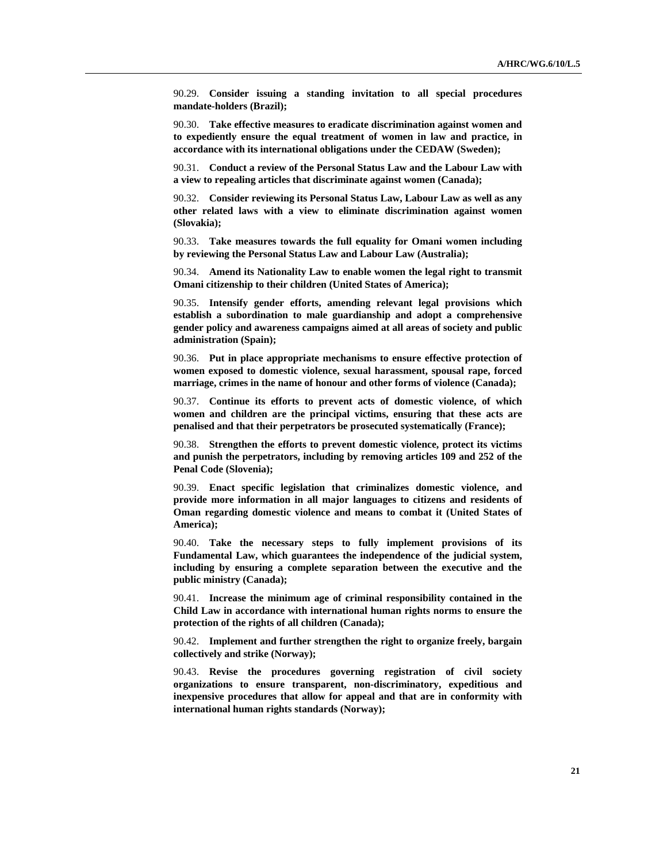90.29. **Consider issuing a standing invitation to all special procedures mandate-holders (Brazil);**

 90.30. **Take effective measures to eradicate discrimination against women and to expediently ensure the equal treatment of women in law and practice, in accordance with its international obligations under the CEDAW (Sweden);**

 90.31. **Conduct a review of the Personal Status Law and the Labour Law with a view to repealing articles that discriminate against women (Canada);**

 90.32. **Consider reviewing its Personal Status Law, Labour Law as well as any other related laws with a view to eliminate discrimination against women (Slovakia);**

 90.33. **Take measures towards the full equality for Omani women including by reviewing the Personal Status Law and Labour Law (Australia);**

 90.34. **Amend its Nationality Law to enable women the legal right to transmit Omani citizenship to their children (United States of America);**

 90.35. **Intensify gender efforts, amending relevant legal provisions which establish a subordination to male guardianship and adopt a comprehensive gender policy and awareness campaigns aimed at all areas of society and public administration (Spain);**

 90.36. **Put in place appropriate mechanisms to ensure effective protection of women exposed to domestic violence, sexual harassment, spousal rape, forced marriage, crimes in the name of honour and other forms of violence (Canada);**

 90.37. **Continue its efforts to prevent acts of domestic violence, of which women and children are the principal victims, ensuring that these acts are penalised and that their perpetrators be prosecuted systematically (France);**

 90.38. **Strengthen the efforts to prevent domestic violence, protect its victims and punish the perpetrators, including by removing articles 109 and 252 of the Penal Code (Slovenia);**

 90.39. **Enact specific legislation that criminalizes domestic violence, and provide more information in all major languages to citizens and residents of Oman regarding domestic violence and means to combat it (United States of America);**

 90.40. **Take the necessary steps to fully implement provisions of its Fundamental Law, which guarantees the independence of the judicial system, including by ensuring a complete separation between the executive and the public ministry (Canada);**

 90.41. **Increase the minimum age of criminal responsibility contained in the Child Law in accordance with international human rights norms to ensure the protection of the rights of all children (Canada);**

 90.42. **Implement and further strengthen the right to organize freely, bargain collectively and strike (Norway);**

 90.43. **Revise the procedures governing registration of civil society organizations to ensure transparent, non-discriminatory, expeditious and inexpensive procedures that allow for appeal and that are in conformity with international human rights standards (Norway);**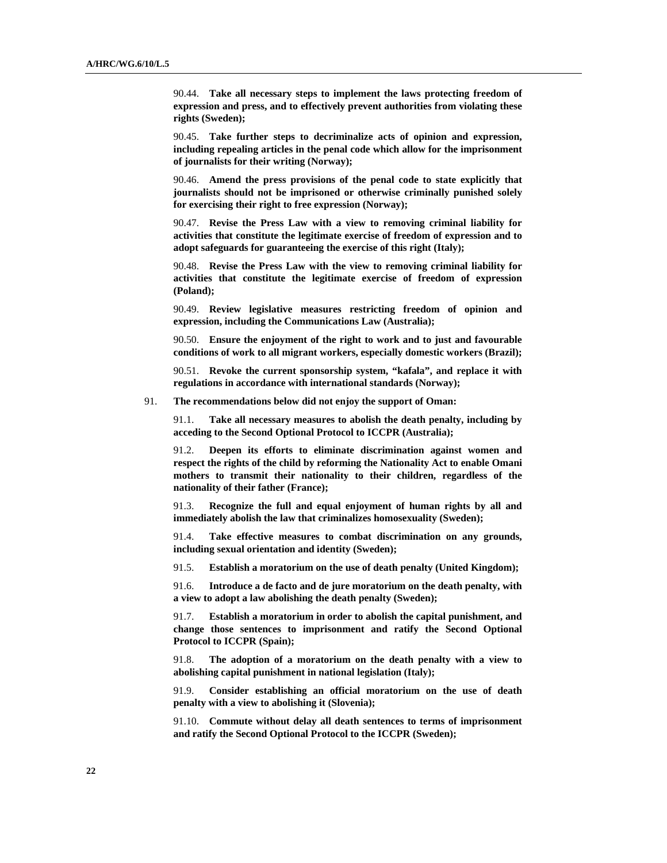90.44. **Take all necessary steps to implement the laws protecting freedom of expression and press, and to effectively prevent authorities from violating these rights (Sweden);**

 90.45. **Take further steps to decriminalize acts of opinion and expression, including repealing articles in the penal code which allow for the imprisonment of journalists for their writing (Norway);**

 90.46. **Amend the press provisions of the penal code to state explicitly that journalists should not be imprisoned or otherwise criminally punished solely for exercising their right to free expression (Norway);**

 90.47. **Revise the Press Law with a view to removing criminal liability for activities that constitute the legitimate exercise of freedom of expression and to adopt safeguards for guaranteeing the exercise of this right (Italy);**

 90.48. **Revise the Press Law with the view to removing criminal liability for activities that constitute the legitimate exercise of freedom of expression (Poland);**

 90.49. **Review legislative measures restricting freedom of opinion and expression, including the Communications Law (Australia);**

 90.50. **Ensure the enjoyment of the right to work and to just and favourable conditions of work to all migrant workers, especially domestic workers (Brazil);**

 90.51. **Revoke the current sponsorship system, "kafala", and replace it with regulations in accordance with international standards (Norway);**

91. **The recommendations below did not enjoy the support of Oman:**

 91.1. **Take all necessary measures to abolish the death penalty, including by acceding to the Second Optional Protocol to ICCPR (Australia);**

 91.2. **Deepen its efforts to eliminate discrimination against women and respect the rights of the child by reforming the Nationality Act to enable Omani mothers to transmit their nationality to their children, regardless of the nationality of their father (France);**

 91.3. **Recognize the full and equal enjoyment of human rights by all and immediately abolish the law that criminalizes homosexuality (Sweden);**

 91.4. **Take effective measures to combat discrimination on any grounds, including sexual orientation and identity (Sweden);**

91.5. **Establish a moratorium on the use of death penalty (United Kingdom);**

 91.6. **Introduce a de facto and de jure moratorium on the death penalty, with a view to adopt a law abolishing the death penalty (Sweden);** 

 91.7. **Establish a moratorium in order to abolish the capital punishment, and change those sentences to imprisonment and ratify the Second Optional Protocol to ICCPR (Spain);**

 91.8. **The adoption of a moratorium on the death penalty with a view to abolishing capital punishment in national legislation (Italy);**

 91.9. **Consider establishing an official moratorium on the use of death penalty with a view to abolishing it (Slovenia);**

 91.10. **Commute without delay all death sentences to terms of imprisonment and ratify the Second Optional Protocol to the ICCPR (Sweden);**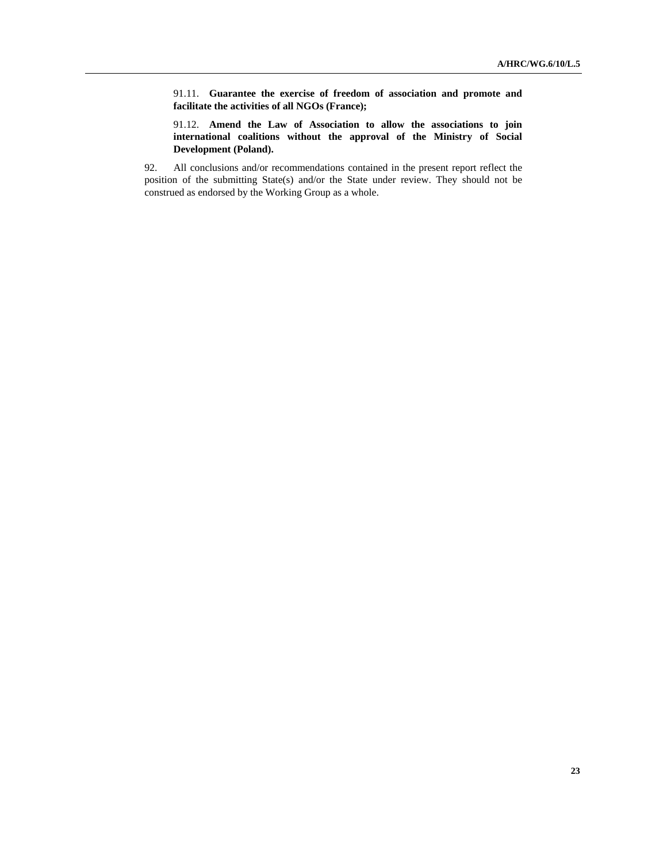91.11. **Guarantee the exercise of freedom of association and promote and facilitate the activities of all NGOs (France);**

 91.12. **Amend the Law of Association to allow the associations to join international coalitions without the approval of the Ministry of Social Development (Poland).**

92. All conclusions and/or recommendations contained in the present report reflect the position of the submitting State(s) and/or the State under review. They should not be construed as endorsed by the Working Group as a whole.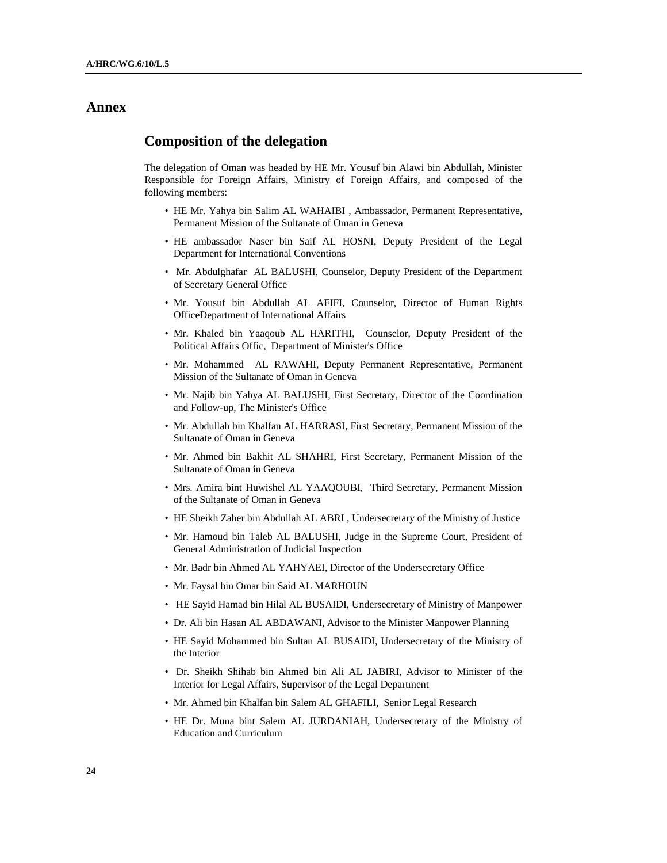## **Annex**

## **Composition of the delegation**

The delegation of Oman was headed by HE Mr. Yousuf bin Alawi bin Abdullah, Minister Responsible for Foreign Affairs, Ministry of Foreign Affairs, and composed of the following members:

- HE Mr. Yahya bin Salim AL WAHAIBI , Ambassador, Permanent Representative, Permanent Mission of the Sultanate of Oman in Geneva
- HE ambassador Naser bin Saif AL HOSNI, Deputy President of the Legal Department for International Conventions
- Mr. Abdulghafar AL BALUSHI, Counselor, Deputy President of the Department of Secretary General Office
- Mr. Yousuf bin Abdullah AL AFIFI, Counselor, Director of Human Rights OfficeDepartment of International Affairs
- Mr. Khaled bin Yaaqoub AL HARITHI, Counselor, Deputy President of the Political Affairs Offic, Department of Minister's Office
- Mr. Mohammed AL RAWAHI, Deputy Permanent Representative, Permanent Mission of the Sultanate of Oman in Geneva
- Mr. Najib bin Yahya AL BALUSHI, First Secretary, Director of the Coordination and Follow-up, The Minister's Office
- Mr. Abdullah bin Khalfan AL HARRASI, First Secretary, Permanent Mission of the Sultanate of Oman in Geneva
- Mr. Ahmed bin Bakhit AL SHAHRI, First Secretary, Permanent Mission of the Sultanate of Oman in Geneva
- Mrs. Amira bint Huwishel AL YAAQOUBI, Third Secretary, Permanent Mission of the Sultanate of Oman in Geneva
- HE Sheikh Zaher bin Abdullah AL ABRI , Undersecretary of the Ministry of Justice
- Mr. Hamoud bin Taleb AL BALUSHI, Judge in the Supreme Court, President of General Administration of Judicial Inspection
- Mr. Badr bin Ahmed AL YAHYAEI, Director of the Undersecretary Office
- Mr. Faysal bin Omar bin Said AL MARHOUN
- HE Sayid Hamad bin Hilal AL BUSAIDI, Undersecretary of Ministry of Manpower
- Dr. Ali bin Hasan AL ABDAWANI, Advisor to the Minister Manpower Planning
- HE Sayid Mohammed bin Sultan AL BUSAIDI, Undersecretary of the Ministry of the Interior
- Dr. Sheikh Shihab bin Ahmed bin Ali AL JABIRI, Advisor to Minister of the Interior for Legal Affairs, Supervisor of the Legal Department
- Mr. Ahmed bin Khalfan bin Salem AL GHAFILI, Senior Legal Research
- HE Dr. Muna bint Salem AL JURDANIAH, Undersecretary of the Ministry of Education and Curriculum